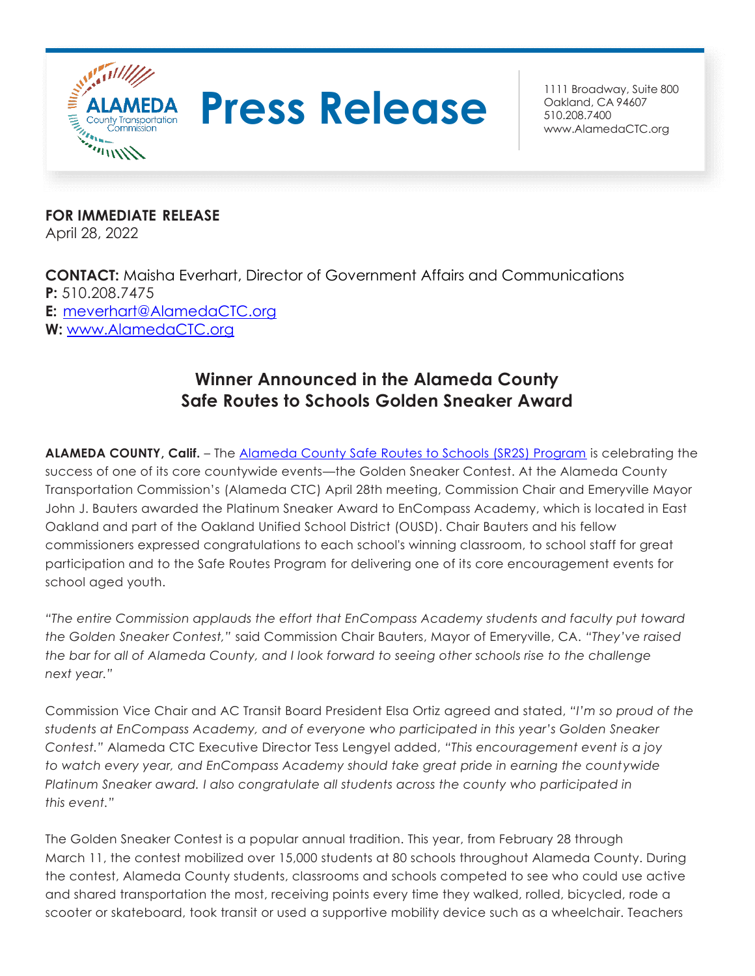

## **Press Release Building Calculate 800**

Oakland, CA 94607 510.208.7400 [www.AlamedaCTC.org](http://www.alamedactc.org/)

**FOR IMMEDIATE RELEASE** April 28, 2022

**CONTACT:** Maisha Everhart, Director of Government Affairs and Communications **P:** 510.208.7475 **E:** [meverhart@AlamedaCTC.org](mailto:meverhart@AlamedaCTC.org) **W:** [www.AlamedaCTC.org](http://www.alamedactc.org/)

## **Winner Announced in the Alameda County Safe Routes to Schools Golden Sneaker Award**

**ALAMEDA COUNTY, Calif.** – The [Alameda County Safe Routes to Schools \(SR2S\) Program](https://alamedacountysr2s.org/) is celebrating the success of one of its core countywide events—the Golden Sneaker Contest. At the Alameda County Transportation Commission's (Alameda CTC) April 28th meeting, Commission Chair and Emeryville Mayor John J. Bauters awarded the Platinum Sneaker Award to EnCompass Academy, which is located in East Oakland and part of the Oakland Unified School District (OUSD). Chair Bauters and his fellow commissioners expressed congratulations to each school's winning classroom, to school staff for great participation and to the Safe Routes Program for delivering one of its core encouragement events for school aged youth.

*"The entire Commission applauds the effort that EnCompass Academy students and faculty put toward the Golden Sneaker Contest,"* said Commission Chair Bauters, Mayor of Emeryville, CA. *"They've raised the bar for all of Alameda County, and I look forward to seeing other schools rise to the challenge next year."*

Commission Vice Chair and AC Transit Board President Elsa Ortiz agreed and stated, *"I'm so proud of the students at EnCompass Academy, and of everyone who participated in this year's Golden Sneaker Contest."* Alameda CTC Executive Director Tess Lengyel added, *"This encouragement event is a joy*  to watch every year, and EnCompass Academy should take great pride in earning the countywide *Platinum Sneaker award. I also congratulate all students across the county who participated in this event."*

The Golden Sneaker Contest is a popular annual tradition. This year, from February 28 through March 11, the contest mobilized over 15,000 students at 80 schools throughout Alameda County. During the contest, Alameda County students, classrooms and schools competed to see who could use active and shared transportation the most, receiving points every time they walked, rolled, bicycled, rode a scooter or skateboard, took transit or used a supportive mobility device such as a wheelchair. Teachers